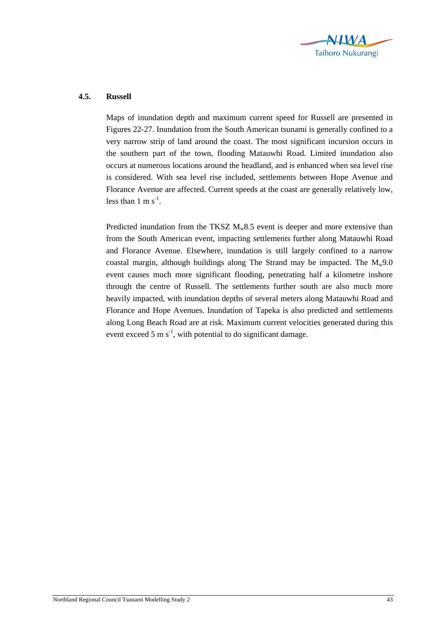

## **4.5. Russell**

Maps of inundation depth and maximum current speed for Russell are presented in Figures 22-27. Inundation from the South American tsunami is generally confined to a very narrow strip of land around the coast. The most significant incursion occurs in the southern part of the town, flooding Matauwhi Road. Limited inundation also occurs at numerous locations around the headland, and is enhanced when sea level rise is considered. With sea level rise included, settlements between Hope Avenue and Florance Avenue are affected. Current speeds at the coast are generally relatively low, less than  $1 \text{ m s}^{-1}$ .

Predicted inundation from the TKSZ  $M_w 8.5$  event is deeper and more extensive than from the South American event, impacting settlements further along Matauwhi Road and Florance Avenue. Elsewhere, inundation is still largely confined to a narrow coastal margin, although buildings along The Strand may be impacted. The  $M_w$ 9.0 event causes much more significant flooding, penetrating half a kilometre inshore through the centre of Russell. The settlements further south are also much more heavily impacted, with inundation depths of several meters along Matauwhi Road and Florance and Hope Avenues. Inundation of Tapeka is also predicted and settlements along Long Beach Road are at risk. Maximum current velocities generated during this event exceed 5 m  $s^{-1}$ , with potential to do significant damage.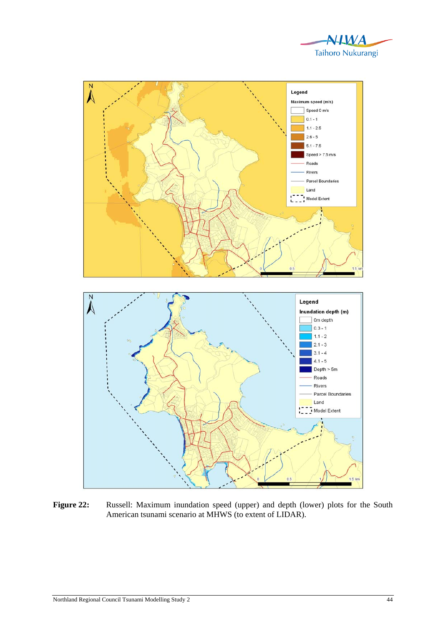



Figure 22: Russell: Maximum inundation speed (upper) and depth (lower) plots for the South American tsunami scenario at MHWS (to extent of LIDAR).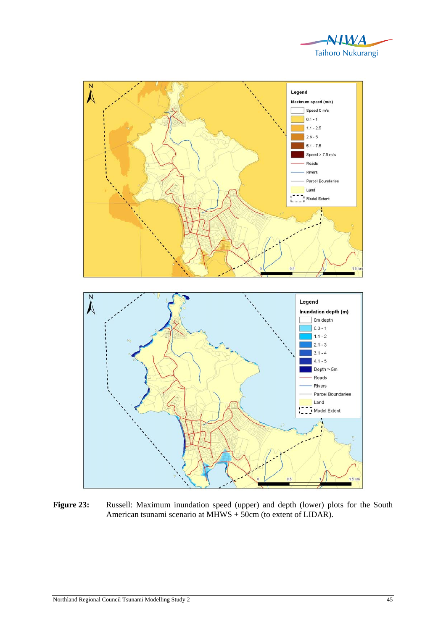



Figure 23: Russell: Maximum inundation speed (upper) and depth (lower) plots for the South American tsunami scenario at MHWS + 50cm (to extent of LIDAR).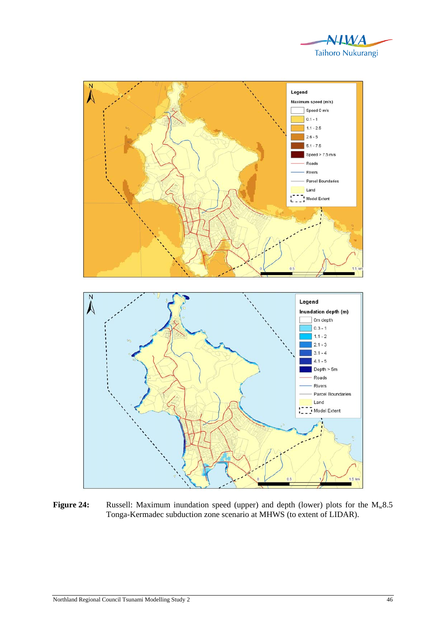



Figure 24: Russell: Maximum inundation speed (upper) and depth (lower) plots for the M<sub>w</sub>8.5 Tonga-Kermadec subduction zone scenario at MHWS (to extent of LIDAR).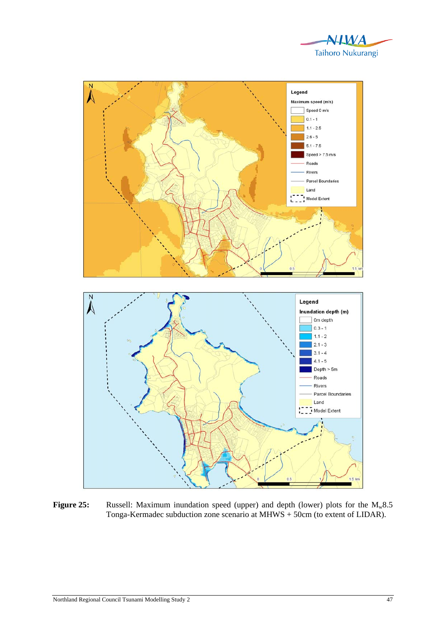



**Figure 25:** Russell: Maximum inundation speed (upper) and depth (lower) plots for the M<sub>w</sub>8.5 Tonga-Kermadec subduction zone scenario at MHWS + 50cm (to extent of LIDAR).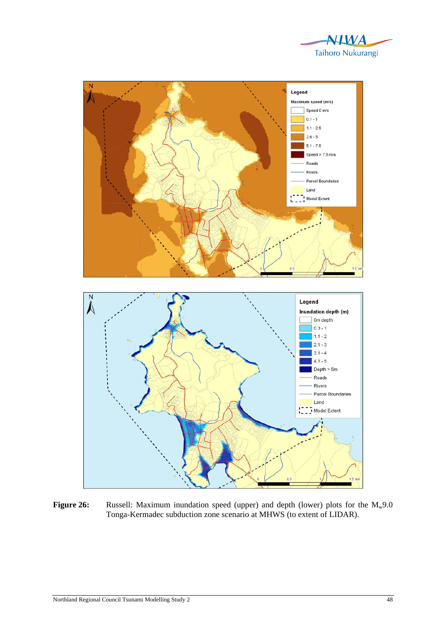



**Figure 26:** Russell: Maximum inundation speed (upper) and depth (lower) plots for the M<sub>w</sub>9.0 Tonga-Kermadec subduction zone scenario at MHWS (to extent of LIDAR).